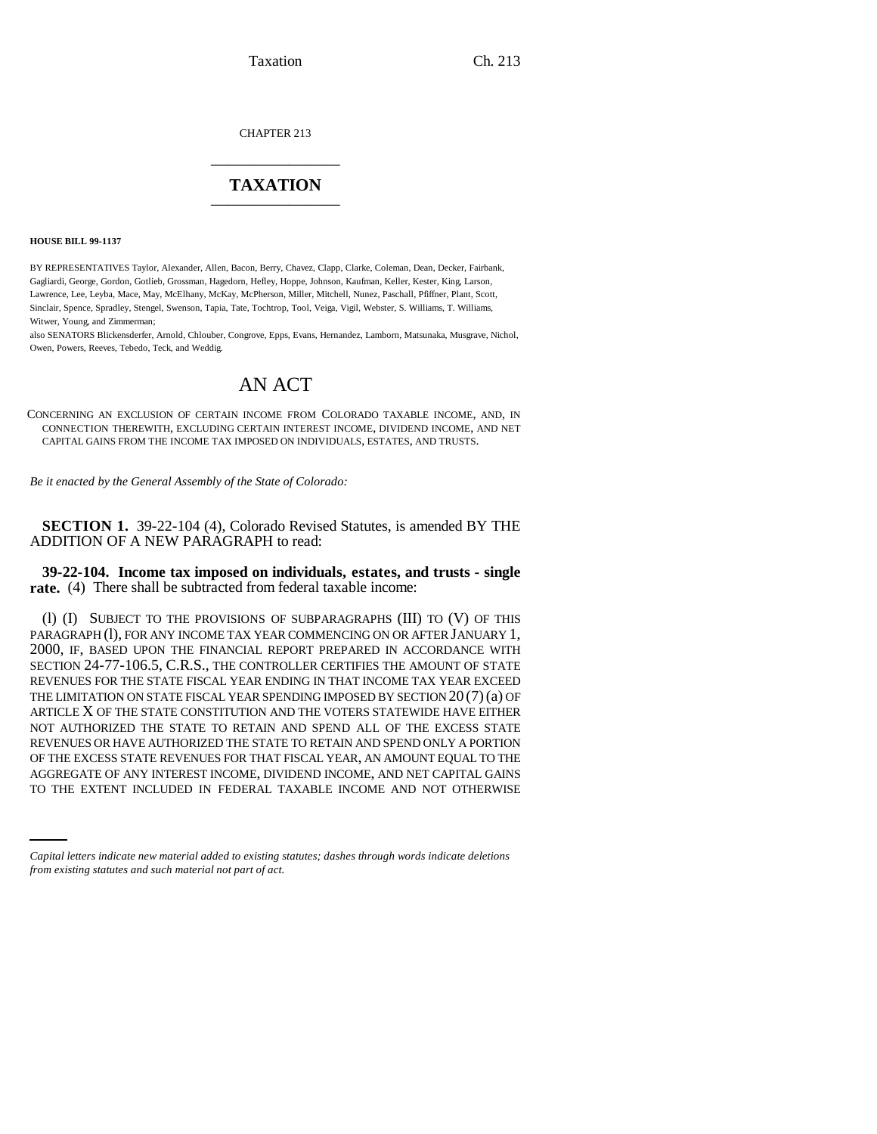Taxation Ch. 213

CHAPTER 213 \_\_\_\_\_\_\_\_\_\_\_\_\_\_\_

## **TAXATION** \_\_\_\_\_\_\_\_\_\_\_\_\_\_\_

**HOUSE BILL 99-1137** 

BY REPRESENTATIVES Taylor, Alexander, Allen, Bacon, Berry, Chavez, Clapp, Clarke, Coleman, Dean, Decker, Fairbank, Gagliardi, George, Gordon, Gotlieb, Grossman, Hagedorn, Hefley, Hoppe, Johnson, Kaufman, Keller, Kester, King, Larson, Lawrence, Lee, Leyba, Mace, May, McElhany, McKay, McPherson, Miller, Mitchell, Nunez, Paschall, Pfiffner, Plant, Scott, Sinclair, Spence, Spradley, Stengel, Swenson, Tapia, Tate, Tochtrop, Tool, Veiga, Vigil, Webster, S. Williams, T. Williams, Witwer, Young, and Zimmerman;

also SENATORS Blickensderfer, Arnold, Chlouber, Congrove, Epps, Evans, Hernandez, Lamborn, Matsunaka, Musgrave, Nichol, Owen, Powers, Reeves, Tebedo, Teck, and Weddig.

# AN ACT

CONCERNING AN EXCLUSION OF CERTAIN INCOME FROM COLORADO TAXABLE INCOME, AND, IN CONNECTION THEREWITH, EXCLUDING CERTAIN INTEREST INCOME, DIVIDEND INCOME, AND NET CAPITAL GAINS FROM THE INCOME TAX IMPOSED ON INDIVIDUALS, ESTATES, AND TRUSTS.

*Be it enacted by the General Assembly of the State of Colorado:*

**SECTION 1.** 39-22-104 (4), Colorado Revised Statutes, is amended BY THE ADDITION OF A NEW PARAGRAPH to read:

**39-22-104. Income tax imposed on individuals, estates, and trusts - single rate.** (4) There shall be subtracted from federal taxable income:

OF THE EXCESS STATE REVENUES FOR THAT FISCAL YEAR, AN AMOUNT EQUAL TO THE<br>AGGREGATE OF ANY INTEREST INCOME, DIVIDEND INCOME, AND NET CAPITAL GAINS (l) (I) SUBJECT TO THE PROVISIONS OF SUBPARAGRAPHS (III) TO (V) OF THIS PARAGRAPH (1), FOR ANY INCOME TAX YEAR COMMENCING ON OR AFTER JANUARY 1, 2000, IF, BASED UPON THE FINANCIAL REPORT PREPARED IN ACCORDANCE WITH SECTION 24-77-106.5, C.R.S., THE CONTROLLER CERTIFIES THE AMOUNT OF STATE REVENUES FOR THE STATE FISCAL YEAR ENDING IN THAT INCOME TAX YEAR EXCEED THE LIMITATION ON STATE FISCAL YEAR SPENDING IMPOSED BY SECTION  $20(7)(a)$  OF ARTICLE X OF THE STATE CONSTITUTION AND THE VOTERS STATEWIDE HAVE EITHER NOT AUTHORIZED THE STATE TO RETAIN AND SPEND ALL OF THE EXCESS STATE REVENUES OR HAVE AUTHORIZED THE STATE TO RETAIN AND SPEND ONLY A PORTION OF THE EXCESS STATE REVENUES FOR THAT FISCAL YEAR, AN AMOUNT EQUAL TO THE TO THE EXTENT INCLUDED IN FEDERAL TAXABLE INCOME AND NOT OTHERWISE

*Capital letters indicate new material added to existing statutes; dashes through words indicate deletions from existing statutes and such material not part of act.*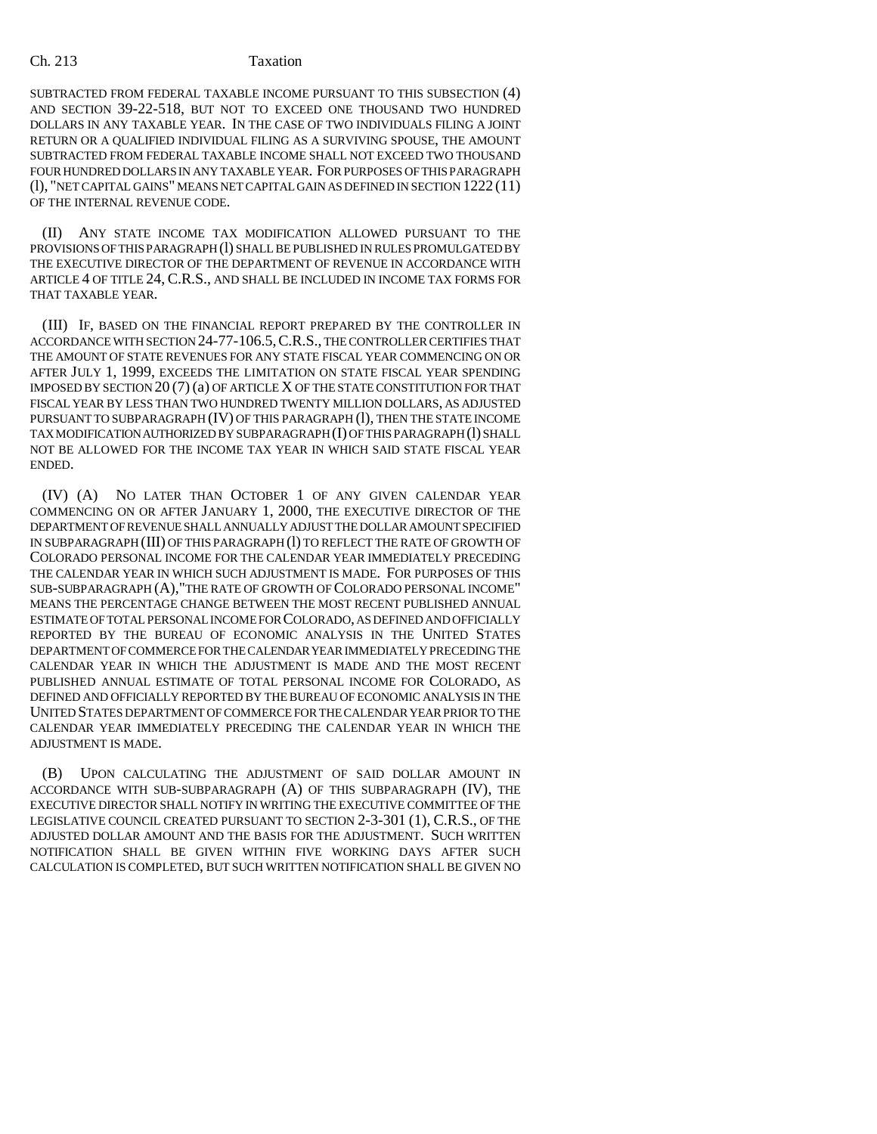### Ch. 213 Taxation

SUBTRACTED FROM FEDERAL TAXABLE INCOME PURSUANT TO THIS SUBSECTION (4) AND SECTION 39-22-518, BUT NOT TO EXCEED ONE THOUSAND TWO HUNDRED DOLLARS IN ANY TAXABLE YEAR. IN THE CASE OF TWO INDIVIDUALS FILING A JOINT RETURN OR A QUALIFIED INDIVIDUAL FILING AS A SURVIVING SPOUSE, THE AMOUNT SUBTRACTED FROM FEDERAL TAXABLE INCOME SHALL NOT EXCEED TWO THOUSAND FOUR HUNDRED DOLLARS IN ANY TAXABLE YEAR. FOR PURPOSES OF THIS PARAGRAPH (l), "NET CAPITAL GAINS" MEANS NET CAPITAL GAIN AS DEFINED IN SECTION 1222 (11) OF THE INTERNAL REVENUE CODE.

(II) ANY STATE INCOME TAX MODIFICATION ALLOWED PURSUANT TO THE PROVISIONS OF THIS PARAGRAPH (1) SHALL BE PUBLISHED IN RULES PROMULGATED BY THE EXECUTIVE DIRECTOR OF THE DEPARTMENT OF REVENUE IN ACCORDANCE WITH ARTICLE 4 OF TITLE 24, C.R.S., AND SHALL BE INCLUDED IN INCOME TAX FORMS FOR THAT TAXABLE YEAR.

(III) IF, BASED ON THE FINANCIAL REPORT PREPARED BY THE CONTROLLER IN ACCORDANCE WITH SECTION 24-77-106.5,C.R.S., THE CONTROLLER CERTIFIES THAT THE AMOUNT OF STATE REVENUES FOR ANY STATE FISCAL YEAR COMMENCING ON OR AFTER JULY 1, 1999, EXCEEDS THE LIMITATION ON STATE FISCAL YEAR SPENDING IMPOSED BY SECTION 20 (7) (a) OF ARTICLE X OF THE STATE CONSTITUTION FOR THAT FISCAL YEAR BY LESS THAN TWO HUNDRED TWENTY MILLION DOLLARS, AS ADJUSTED PURSUANT TO SUBPARAGRAPH (IV) OF THIS PARAGRAPH (l), THEN THE STATE INCOME TAX MODIFICATION AUTHORIZED BY SUBPARAGRAPH (I) OF THIS PARAGRAPH (l) SHALL NOT BE ALLOWED FOR THE INCOME TAX YEAR IN WHICH SAID STATE FISCAL YEAR ENDED.

(IV) (A) NO LATER THAN OCTOBER 1 OF ANY GIVEN CALENDAR YEAR COMMENCING ON OR AFTER JANUARY 1, 2000, THE EXECUTIVE DIRECTOR OF THE DEPARTMENT OF REVENUE SHALL ANNUALLY ADJUST THE DOLLAR AMOUNT SPECIFIED IN SUBPARAGRAPH (III) OF THIS PARAGRAPH (l) TO REFLECT THE RATE OF GROWTH OF COLORADO PERSONAL INCOME FOR THE CALENDAR YEAR IMMEDIATELY PRECEDING THE CALENDAR YEAR IN WHICH SUCH ADJUSTMENT IS MADE. FOR PURPOSES OF THIS SUB-SUBPARAGRAPH (A),"THE RATE OF GROWTH OF COLORADO PERSONAL INCOME" MEANS THE PERCENTAGE CHANGE BETWEEN THE MOST RECENT PUBLISHED ANNUAL ESTIMATE OF TOTAL PERSONAL INCOME FOR COLORADO, AS DEFINED AND OFFICIALLY REPORTED BY THE BUREAU OF ECONOMIC ANALYSIS IN THE UNITED STATES DEPARTMENT OF COMMERCE FOR THE CALENDAR YEAR IMMEDIATELY PRECEDING THE CALENDAR YEAR IN WHICH THE ADJUSTMENT IS MADE AND THE MOST RECENT PUBLISHED ANNUAL ESTIMATE OF TOTAL PERSONAL INCOME FOR COLORADO, AS DEFINED AND OFFICIALLY REPORTED BY THE BUREAU OF ECONOMIC ANALYSIS IN THE UNITED STATES DEPARTMENT OF COMMERCE FOR THE CALENDAR YEAR PRIOR TO THE CALENDAR YEAR IMMEDIATELY PRECEDING THE CALENDAR YEAR IN WHICH THE ADJUSTMENT IS MADE.

(B) UPON CALCULATING THE ADJUSTMENT OF SAID DOLLAR AMOUNT IN ACCORDANCE WITH SUB-SUBPARAGRAPH (A) OF THIS SUBPARAGRAPH (IV), THE EXECUTIVE DIRECTOR SHALL NOTIFY IN WRITING THE EXECUTIVE COMMITTEE OF THE LEGISLATIVE COUNCIL CREATED PURSUANT TO SECTION 2-3-301 (1), C.R.S., OF THE ADJUSTED DOLLAR AMOUNT AND THE BASIS FOR THE ADJUSTMENT. SUCH WRITTEN NOTIFICATION SHALL BE GIVEN WITHIN FIVE WORKING DAYS AFTER SUCH CALCULATION IS COMPLETED, BUT SUCH WRITTEN NOTIFICATION SHALL BE GIVEN NO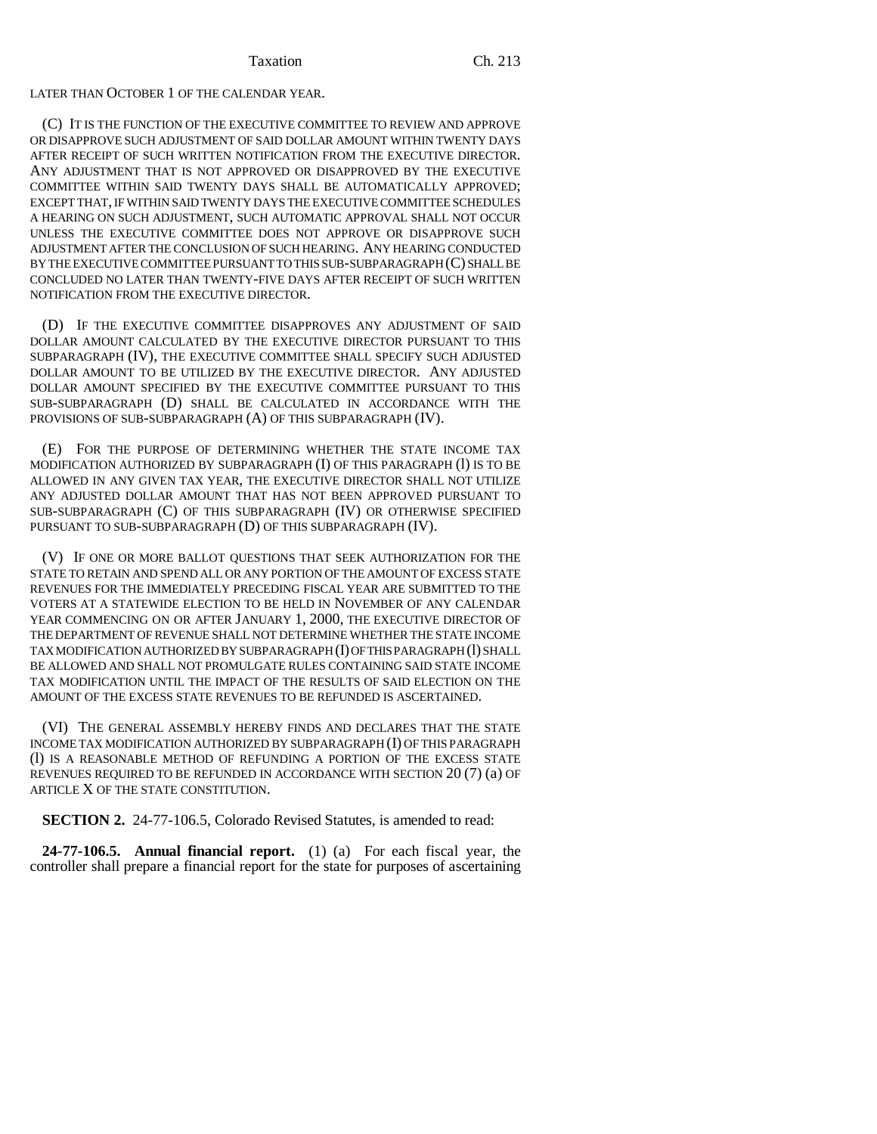LATER THAN OCTOBER 1 OF THE CALENDAR YEAR.

(C) IT IS THE FUNCTION OF THE EXECUTIVE COMMITTEE TO REVIEW AND APPROVE OR DISAPPROVE SUCH ADJUSTMENT OF SAID DOLLAR AMOUNT WITHIN TWENTY DAYS AFTER RECEIPT OF SUCH WRITTEN NOTIFICATION FROM THE EXECUTIVE DIRECTOR. ANY ADJUSTMENT THAT IS NOT APPROVED OR DISAPPROVED BY THE EXECUTIVE COMMITTEE WITHIN SAID TWENTY DAYS SHALL BE AUTOMATICALLY APPROVED; EXCEPT THAT, IF WITHIN SAID TWENTY DAYS THE EXECUTIVE COMMITTEE SCHEDULES A HEARING ON SUCH ADJUSTMENT, SUCH AUTOMATIC APPROVAL SHALL NOT OCCUR UNLESS THE EXECUTIVE COMMITTEE DOES NOT APPROVE OR DISAPPROVE SUCH ADJUSTMENT AFTER THE CONCLUSION OF SUCH HEARING. ANY HEARING CONDUCTED BY THE EXECUTIVE COMMITTEE PURSUANT TO THIS SUB-SUBPARAGRAPH (C) SHALL BE CONCLUDED NO LATER THAN TWENTY-FIVE DAYS AFTER RECEIPT OF SUCH WRITTEN NOTIFICATION FROM THE EXECUTIVE DIRECTOR.

(D) IF THE EXECUTIVE COMMITTEE DISAPPROVES ANY ADJUSTMENT OF SAID DOLLAR AMOUNT CALCULATED BY THE EXECUTIVE DIRECTOR PURSUANT TO THIS SUBPARAGRAPH (IV), THE EXECUTIVE COMMITTEE SHALL SPECIFY SUCH ADJUSTED DOLLAR AMOUNT TO BE UTILIZED BY THE EXECUTIVE DIRECTOR. ANY ADJUSTED DOLLAR AMOUNT SPECIFIED BY THE EXECUTIVE COMMITTEE PURSUANT TO THIS SUB-SUBPARAGRAPH (D) SHALL BE CALCULATED IN ACCORDANCE WITH THE PROVISIONS OF SUB-SUBPARAGRAPH (A) OF THIS SUBPARAGRAPH (IV).

(E) FOR THE PURPOSE OF DETERMINING WHETHER THE STATE INCOME TAX MODIFICATION AUTHORIZED BY SUBPARAGRAPH (I) OF THIS PARAGRAPH (l) IS TO BE ALLOWED IN ANY GIVEN TAX YEAR, THE EXECUTIVE DIRECTOR SHALL NOT UTILIZE ANY ADJUSTED DOLLAR AMOUNT THAT HAS NOT BEEN APPROVED PURSUANT TO SUB-SUBPARAGRAPH (C) OF THIS SUBPARAGRAPH (IV) OR OTHERWISE SPECIFIED PURSUANT TO SUB-SUBPARAGRAPH (D) OF THIS SUBPARAGRAPH (IV).

(V) IF ONE OR MORE BALLOT QUESTIONS THAT SEEK AUTHORIZATION FOR THE STATE TO RETAIN AND SPEND ALL OR ANY PORTION OF THE AMOUNT OF EXCESS STATE REVENUES FOR THE IMMEDIATELY PRECEDING FISCAL YEAR ARE SUBMITTED TO THE VOTERS AT A STATEWIDE ELECTION TO BE HELD IN NOVEMBER OF ANY CALENDAR YEAR COMMENCING ON OR AFTER JANUARY 1, 2000, THE EXECUTIVE DIRECTOR OF THE DEPARTMENT OF REVENUE SHALL NOT DETERMINE WHETHER THE STATE INCOME TAX MODIFICATION AUTHORIZED BY SUBPARAGRAPH (I) OF THIS PARAGRAPH (l) SHALL BE ALLOWED AND SHALL NOT PROMULGATE RULES CONTAINING SAID STATE INCOME TAX MODIFICATION UNTIL THE IMPACT OF THE RESULTS OF SAID ELECTION ON THE AMOUNT OF THE EXCESS STATE REVENUES TO BE REFUNDED IS ASCERTAINED.

(VI) THE GENERAL ASSEMBLY HEREBY FINDS AND DECLARES THAT THE STATE INCOME TAX MODIFICATION AUTHORIZED BY SUBPARAGRAPH (I) OF THIS PARAGRAPH (l) IS A REASONABLE METHOD OF REFUNDING A PORTION OF THE EXCESS STATE REVENUES REQUIRED TO BE REFUNDED IN ACCORDANCE WITH SECTION 20 (7) (a) OF ARTICLE X OF THE STATE CONSTITUTION.

**SECTION 2.** 24-77-106.5, Colorado Revised Statutes, is amended to read:

**24-77-106.5. Annual financial report.** (1) (a) For each fiscal year, the controller shall prepare a financial report for the state for purposes of ascertaining